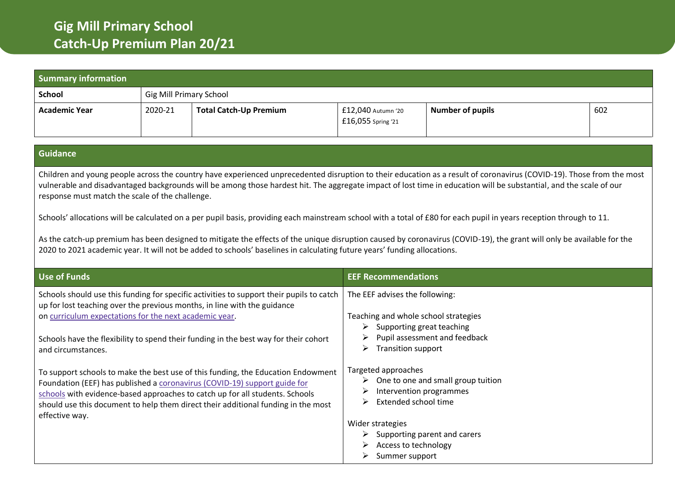| <b>Summary information</b>                                                   |         |                                                                                                                                                                                                                                                                                                                                                                                                                                                                                                                                                                                                                                                |                                                                                                                                                                                                        |                                                                                      |     |
|------------------------------------------------------------------------------|---------|------------------------------------------------------------------------------------------------------------------------------------------------------------------------------------------------------------------------------------------------------------------------------------------------------------------------------------------------------------------------------------------------------------------------------------------------------------------------------------------------------------------------------------------------------------------------------------------------------------------------------------------------|--------------------------------------------------------------------------------------------------------------------------------------------------------------------------------------------------------|--------------------------------------------------------------------------------------|-----|
| <b>School</b>                                                                |         | <b>Gig Mill Primary School</b>                                                                                                                                                                                                                                                                                                                                                                                                                                                                                                                                                                                                                 |                                                                                                                                                                                                        |                                                                                      |     |
| <b>Academic Year</b>                                                         | 2020-21 | <b>Total Catch-Up Premium</b>                                                                                                                                                                                                                                                                                                                                                                                                                                                                                                                                                                                                                  | £12,040 Autumn '20<br>£16,055 Spring '21                                                                                                                                                               | <b>Number of pupils</b>                                                              | 602 |
| <b>Guidance</b>                                                              |         |                                                                                                                                                                                                                                                                                                                                                                                                                                                                                                                                                                                                                                                |                                                                                                                                                                                                        |                                                                                      |     |
| response must match the scale of the challenge.                              |         | vulnerable and disadvantaged backgrounds will be among those hardest hit. The aggregate impact of lost time in education will be substantial, and the scale of our<br>Schools' allocations will be calculated on a per pupil basis, providing each mainstream school with a total of £80 for each pupil in years reception through to 11.<br>As the catch-up premium has been designed to mitigate the effects of the unique disruption caused by coronavirus (COVID-19), the grant will only be available for the<br>2020 to 2021 academic year. It will not be added to schools' baselines in calculating future years' funding allocations. |                                                                                                                                                                                                        |                                                                                      |     |
| <b>Use of Funds</b>                                                          |         |                                                                                                                                                                                                                                                                                                                                                                                                                                                                                                                                                                                                                                                | <b>EEF Recommendations</b>                                                                                                                                                                             |                                                                                      |     |
| on curriculum expectations for the next academic year.<br>and circumstances. |         | Schools should use this funding for specific activities to support their pupils to catch<br>up for lost teaching over the previous months, in line with the guidance<br>Schools have the flexibility to spend their funding in the best way for their cohort<br>To support schools to make the best use of this funding, the Education Endowment<br>Foundation (EEF) has published a coronavirus (COVID-19) support guide for                                                                                                                                                                                                                  | The EEF advises the following:<br>Teaching and whole school strategies<br>$\triangleright$ Supporting great teaching<br>➤<br>Transition support<br>➤<br>Targeted approaches<br>Intervention programmes | Pupil assessment and feedback<br>$\triangleright$ One to one and small group tuition |     |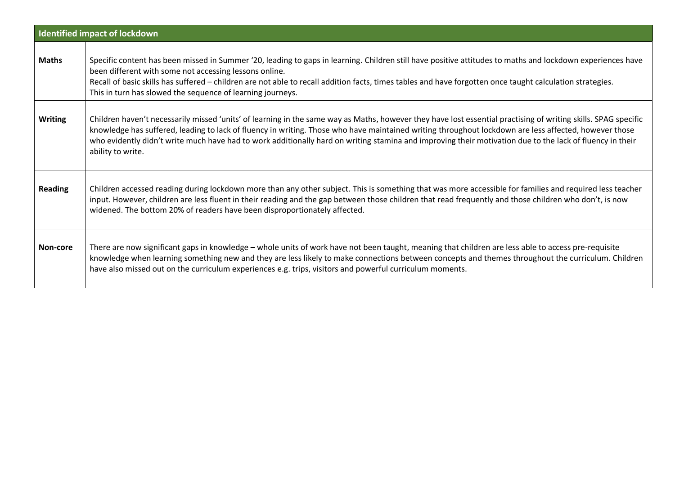| <b>Identified impact of lockdown</b> |                                                                                                                                                                                                                                                                                                                                                                                                                                                                                                          |  |  |  |
|--------------------------------------|----------------------------------------------------------------------------------------------------------------------------------------------------------------------------------------------------------------------------------------------------------------------------------------------------------------------------------------------------------------------------------------------------------------------------------------------------------------------------------------------------------|--|--|--|
| <b>Maths</b>                         | Specific content has been missed in Summer '20, leading to gaps in learning. Children still have positive attitudes to maths and lockdown experiences have<br>been different with some not accessing lessons online.<br>Recall of basic skills has suffered - children are not able to recall addition facts, times tables and have forgotten once taught calculation strategies.<br>This in turn has slowed the sequence of learning journeys.                                                          |  |  |  |
| <b>Writing</b>                       | Children haven't necessarily missed 'units' of learning in the same way as Maths, however they have lost essential practising of writing skills. SPAG specific<br>knowledge has suffered, leading to lack of fluency in writing. Those who have maintained writing throughout lockdown are less affected, however those<br>who evidently didn't write much have had to work additionally hard on writing stamina and improving their motivation due to the lack of fluency in their<br>ability to write. |  |  |  |
| <b>Reading</b>                       | Children accessed reading during lockdown more than any other subject. This is something that was more accessible for families and required less teacher<br>input. However, children are less fluent in their reading and the gap between those children that read frequently and those children who don't, is now<br>widened. The bottom 20% of readers have been disproportionately affected.                                                                                                          |  |  |  |
| Non-core                             | There are now significant gaps in knowledge - whole units of work have not been taught, meaning that children are less able to access pre-requisite<br>knowledge when learning something new and they are less likely to make connections between concepts and themes throughout the curriculum. Children<br>have also missed out on the curriculum experiences e.g. trips, visitors and powerful curriculum moments.                                                                                    |  |  |  |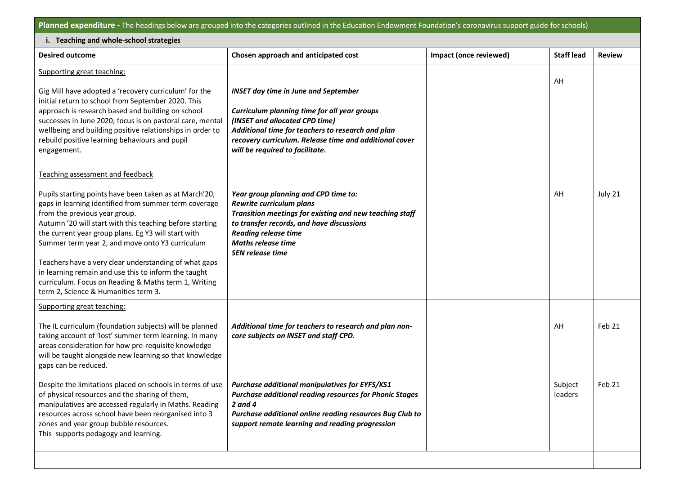**Planned expenditure -** The headings below are grouped into the categories outlined in the Education Endowment Foundation's coronavirus support guide for schools)

| i. Teaching and whole-school strategies                                                                                                                                                                                                                                                                                                                                                                                                                                                                                                                                     |                                                                                                                                                                                                                                                                                 |                        |                    |               |  |
|-----------------------------------------------------------------------------------------------------------------------------------------------------------------------------------------------------------------------------------------------------------------------------------------------------------------------------------------------------------------------------------------------------------------------------------------------------------------------------------------------------------------------------------------------------------------------------|---------------------------------------------------------------------------------------------------------------------------------------------------------------------------------------------------------------------------------------------------------------------------------|------------------------|--------------------|---------------|--|
| <b>Desired outcome</b>                                                                                                                                                                                                                                                                                                                                                                                                                                                                                                                                                      | Chosen approach and anticipated cost                                                                                                                                                                                                                                            | Impact (once reviewed) | <b>Staff lead</b>  | <b>Review</b> |  |
| Supporting great teaching:<br>Gig Mill have adopted a 'recovery curriculum' for the<br>initial return to school from September 2020. This<br>approach is research based and building on school<br>successes in June 2020; focus is on pastoral care, mental<br>wellbeing and building positive relationships in order to<br>rebuild positive learning behaviours and pupil<br>engagement.                                                                                                                                                                                   | <b>INSET day time in June and September</b><br>Curriculum planning time for all year groups<br>(INSET and allocated CPD time)<br>Additional time for teachers to research and plan<br>recovery curriculum. Release time and additional cover<br>will be required to facilitate. |                        | AH                 |               |  |
| Teaching assessment and feedback<br>Pupils starting points have been taken as at March'20,<br>gaps in learning identified from summer term coverage<br>from the previous year group.<br>Autumn '20 will start with this teaching before starting<br>the current year group plans. Eg Y3 will start with<br>Summer term year 2, and move onto Y3 curriculum<br>Teachers have a very clear understanding of what gaps<br>in learning remain and use this to inform the taught<br>curriculum. Focus on Reading & Maths term 1, Writing<br>term 2, Science & Humanities term 3. | Year group planning and CPD time to:<br>Rewrite curriculum plans<br>Transition meetings for existing and new teaching staff<br>to transfer records, and have discussions<br><b>Reading release time</b><br><b>Maths release time</b><br><b>SEN release time</b>                 |                        | AH                 | July 21       |  |
| Supporting great teaching:<br>The IL curriculum (foundation subjects) will be planned<br>taking account of 'lost' summer term learning. In many<br>areas consideration for how pre-requisite knowledge<br>will be taught alongside new learning so that knowledge<br>gaps can be reduced.                                                                                                                                                                                                                                                                                   | Additional time for teachers to research and plan non-<br>core subjects on INSET and staff CPD.                                                                                                                                                                                 |                        | AH                 | Feb 21        |  |
| Despite the limitations placed on schools in terms of use<br>of physical resources and the sharing of them<br>manipulatives are accessed regularly in Maths. Reading<br>resources across school have been reorganised into 3<br>zones and year group bubble resources.<br>This supports pedagogy and learning.                                                                                                                                                                                                                                                              | Purchase additional manipulatives for EYFS/KS1<br><b>Purchase additional reading resources for Phonic Stages</b><br>2 and 4<br>Purchase additional online reading resources Bug Club to<br>support remote learning and reading progression                                      |                        | Subject<br>leaders | Feb 21        |  |
|                                                                                                                                                                                                                                                                                                                                                                                                                                                                                                                                                                             |                                                                                                                                                                                                                                                                                 |                        |                    |               |  |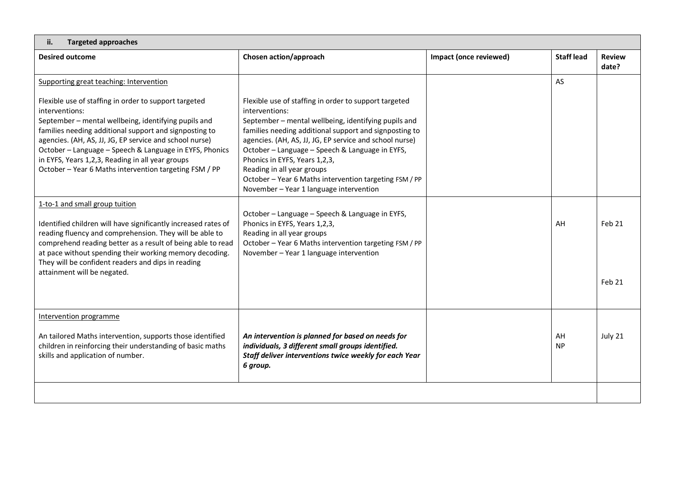| <b>Targeted approaches</b><br>ii.                                                                                                                                                                                                                                                                                                                                          |                                                                                                                                                                                                                                                                                                         |                        |                   |                        |  |  |
|----------------------------------------------------------------------------------------------------------------------------------------------------------------------------------------------------------------------------------------------------------------------------------------------------------------------------------------------------------------------------|---------------------------------------------------------------------------------------------------------------------------------------------------------------------------------------------------------------------------------------------------------------------------------------------------------|------------------------|-------------------|------------------------|--|--|
| <b>Desired outcome</b>                                                                                                                                                                                                                                                                                                                                                     | Chosen action/approach                                                                                                                                                                                                                                                                                  | Impact (once reviewed) | <b>Staff lead</b> | <b>Review</b><br>date? |  |  |
| Supporting great teaching: Intervention<br>Flexible use of staffing in order to support targeted<br>interventions:<br>September - mental wellbeing, identifying pupils and<br>families needing additional support and signposting to<br>agencies. (AH, AS, JJ, JG, EP service and school nurse)<br>October - Language - Speech & Language in EYFS, Phonics                 | Flexible use of staffing in order to support targeted<br>interventions:<br>September - mental wellbeing, identifying pupils and<br>families needing additional support and signposting to<br>agencies. (AH, AS, JJ, JG, EP service and school nurse)<br>October - Language - Speech & Language in EYFS, |                        | AS                |                        |  |  |
| in EYFS, Years 1,2,3, Reading in all year groups<br>October - Year 6 Maths intervention targeting FSM / PP                                                                                                                                                                                                                                                                 | Phonics in EYFS, Years 1,2,3,<br>Reading in all year groups<br>October - Year 6 Maths intervention targeting FSM / PP<br>November - Year 1 language intervention                                                                                                                                        |                        |                   |                        |  |  |
| 1-to-1 and small group tuition<br>Identified children will have significantly increased rates of<br>reading fluency and comprehension. They will be able to<br>comprehend reading better as a result of being able to read<br>at pace without spending their working memory decoding.<br>They will be confident readers and dips in reading<br>attainment will be negated. | October - Language - Speech & Language in EYFS,<br>Phonics in EYFS, Years 1,2,3,<br>Reading in all year groups<br>October - Year 6 Maths intervention targeting FSM / PP<br>November - Year 1 language intervention                                                                                     |                        | AH                | Feb 21                 |  |  |
|                                                                                                                                                                                                                                                                                                                                                                            |                                                                                                                                                                                                                                                                                                         |                        |                   | Feb 21                 |  |  |
| Intervention programme                                                                                                                                                                                                                                                                                                                                                     |                                                                                                                                                                                                                                                                                                         |                        |                   |                        |  |  |
| An tailored Maths intervention, supports those identified<br>children in reinforcing their understanding of basic maths<br>skills and application of number.                                                                                                                                                                                                               | An intervention is planned for based on needs for<br>individuals, 3 different small groups identified.<br>Staff deliver interventions twice weekly for each Year<br>6 group.                                                                                                                            |                        | AH<br><b>NP</b>   | July 21                |  |  |
|                                                                                                                                                                                                                                                                                                                                                                            |                                                                                                                                                                                                                                                                                                         |                        |                   |                        |  |  |